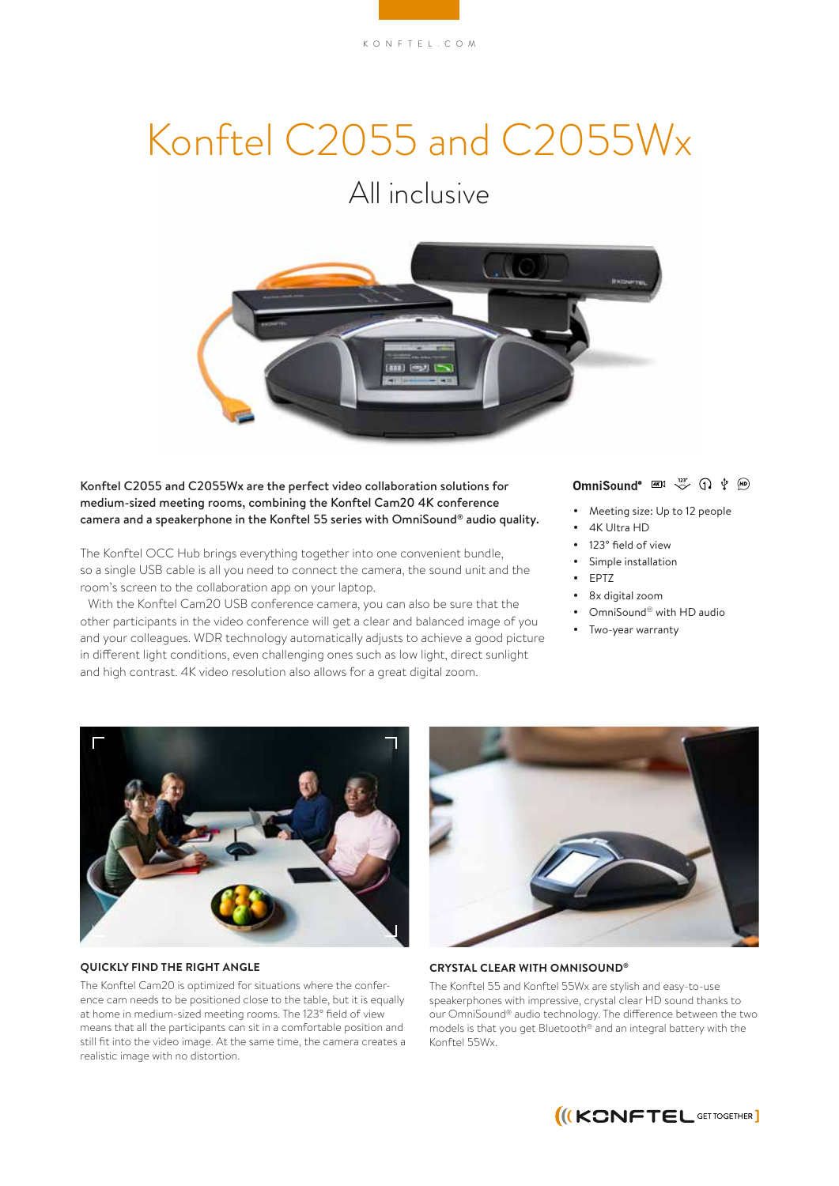# Konftel C2055 and C2055Wx

# All inclusive



Konftel C2055 and C2055Wx are the perfect video collaboration solutions for medium-sized meeting rooms, combining the Konftel Cam20 4K conference camera and a speakerphone in the Konftel 55 series with OmniSound® audio quality.

The Konftel OCC Hub brings everything together into one convenient bundle, so a single USB cable is all you need to connect the camera, the sound unit and the room's screen to the collaboration app on your laptop.

With the Konftel Cam20 USB conference camera, you can also be sure that the other participants in the video conference will get a clear and balanced image of you and your colleagues. WDR technology automatically adjusts to achieve a good picture in different light conditions, even challenging ones such as low light, direct sunlight and high contrast. 4K video resolution also allows for a great digital zoom.

# OmniSound<sup>®</sup>  $\frac{4K}{3}$   $\sqrt{2}$   $\frac{123^{\circ}}{\sqrt{2}}$   $\frac{1}{2}$   $\frac{1}{2}$   $\frac{1}{2}$

- Meeting size: Up to 12 people
- 4K Ultra HD
- 123° field of view
- Simple installation
- EPTZ
- 8x digital zoom
- OmniSound<sup>®</sup> with HD audio
- Two-year warranty



#### **QUICKLY FIND THE RIGHT ANGLE**

The Konftel Cam20 is optimized for situations where the conference cam needs to be positioned close to the table, but it is equally at home in medium-sized meeting rooms. The 123° field of view means that all the participants can sit in a comfortable position and still fit into the video image. At the same time, the camera creates a realistic image with no distortion.



#### **CRYSTAL CLEAR WITH OMNISOUND®**

The Konftel 55 and Konftel 55Wx are stylish and easy-to-use speakerphones with impressive, crystal clear HD sound thanks to our OmniSound® audio technology. The difference between the two models is that you get Bluetooth® and an integral battery with the Konftel 55Wx.